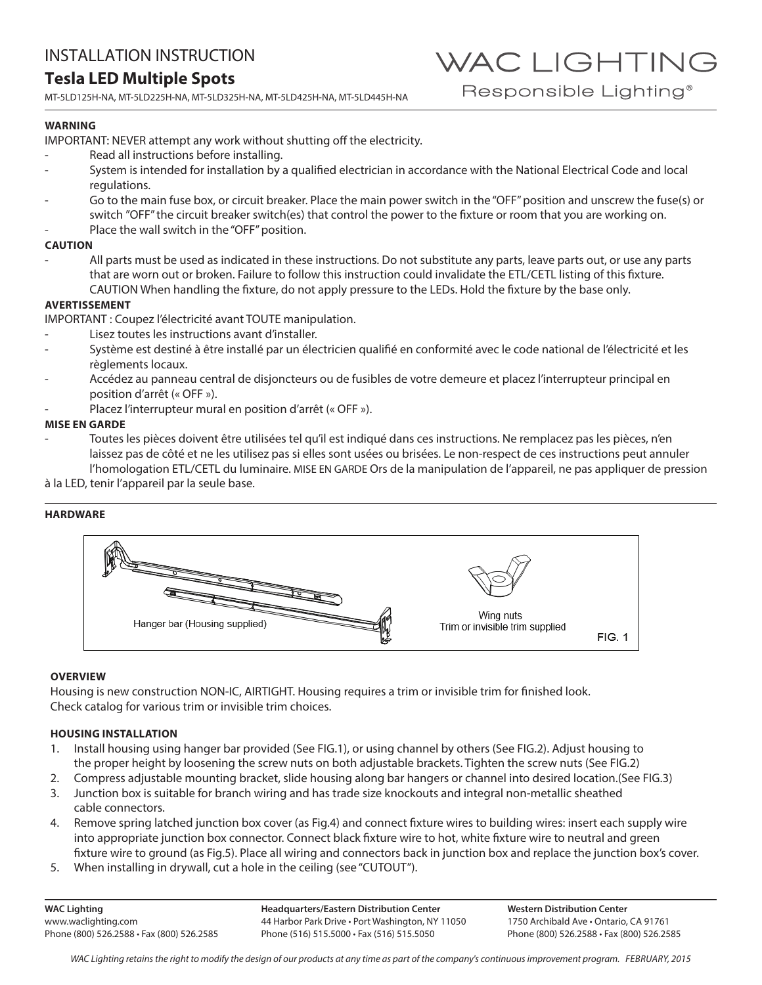# **Tesla LED Multiple Spots**

MT-5LD125H-NA, MT-5LD225H-NA, MT-5LD325H-NA, MT-5LD425H-NA, MT-5LD445H-NA

## **WARNING**

IMPORTANT: NEVER attempt any work without shutting off the electricity.

- Read all instructions before installing.
- System is intended for installation by a qualified electrician in accordance with the National Electrical Code and local regulations.
- Go to the main fuse box, or circuit breaker. Place the main power switch in the "OFF" position and unscrew the fuse(s) or switch "OFF" the circuit breaker switch(es) that control the power to the fixture or room that you are working on.
- Place the wall switch in the "OFF" position.

## **CAUTION**

All parts must be used as indicated in these instructions. Do not substitute any parts, leave parts out, or use any parts that are worn out or broken. Failure to follow this instruction could invalidate the ETL/CETL listing of this fixture. CAUTION When handling the fixture, do not apply pressure to the LEDs. Hold the fixture by the base only.

## **AVERTISSEMENT**

IMPORTANT : Coupez l'électricité avant TOUTE manipulation.

- Lisez toutes les instructions avant d'installer.
- Système est destiné à être installé par un électricien qualifié en conformité avec le code national de l'électricité et les règlements locaux.
- Accédez au panneau central de disjoncteurs ou de fusibles de votre demeure et placez l'interrupteur principal en position d'arrêt (« OFF »).
- Placez l'interrupteur mural en position d'arrêt (« OFF »).

## **MISE EN GARDE**

- Toutes les pièces doivent être utilisées tel qu'il est indiqué dans ces instructions. Ne remplacez pas les pièces, n'en laissez pas de côté et ne les utilisez pas si elles sont usées ou brisées. Le non-respect de ces instructions peut annuler l'homologation ETL/CETL du luminaire. MISE EN GARDE Ors de la manipulation de l'appareil, ne pas appliquer de pression
- à la LED, tenir l'appareil par la seule base.

## **HARDWARE**



## **OVERVIEW**

Housing is new construction NON-IC, AIRTIGHT. Housing requires a trim or invisible trim for finished look. Check catalog for various trim or invisible trim choices.

## **HOUSING INSTALLATION**

- 1. Install housing using hanger bar provided (See FIG.1), or using channel by others (See FIG.2). Adjust housing to the proper height by loosening the screw nuts on both adjustable brackets. Tighten the screw nuts (See FIG.2)
- 2. Compress adjustable mounting bracket, slide housing along bar hangers or channel into desired location.(See FIG.3)
- 3. Junction box is suitable for branch wiring and has trade size knockouts and integral non-metallic sheathed cable connectors.
- 4. Remove spring latched junction box cover (as Fig.4) and connect fixture wires to building wires: insert each supply wire into appropriate junction box connector. Connect black fixture wire to hot, white fixture wire to neutral and green fixture wire to ground (as Fig.5). Place all wiring and connectors back in junction box and replace the junction box's cover.
- 5. When installing in drywall, cut a hole in the ceiling (see "CUTOUT").

**WAC Lighting** www.waclighting.com Phone (800) 526.2588 • Fax (800) 526.2585 **Headquarters/Eastern Distribution Center** 44 Harbor Park Drive • Port Washington, NY 11050 Phone (516) 515.5000 • Fax (516) 515.5050

**Western Distribution Center**  1750 Archibald Ave • Ontario, CA 91761 Phone (800) 526.2588 • Fax (800) 526.2585

Responsible Lighting<sup>®</sup>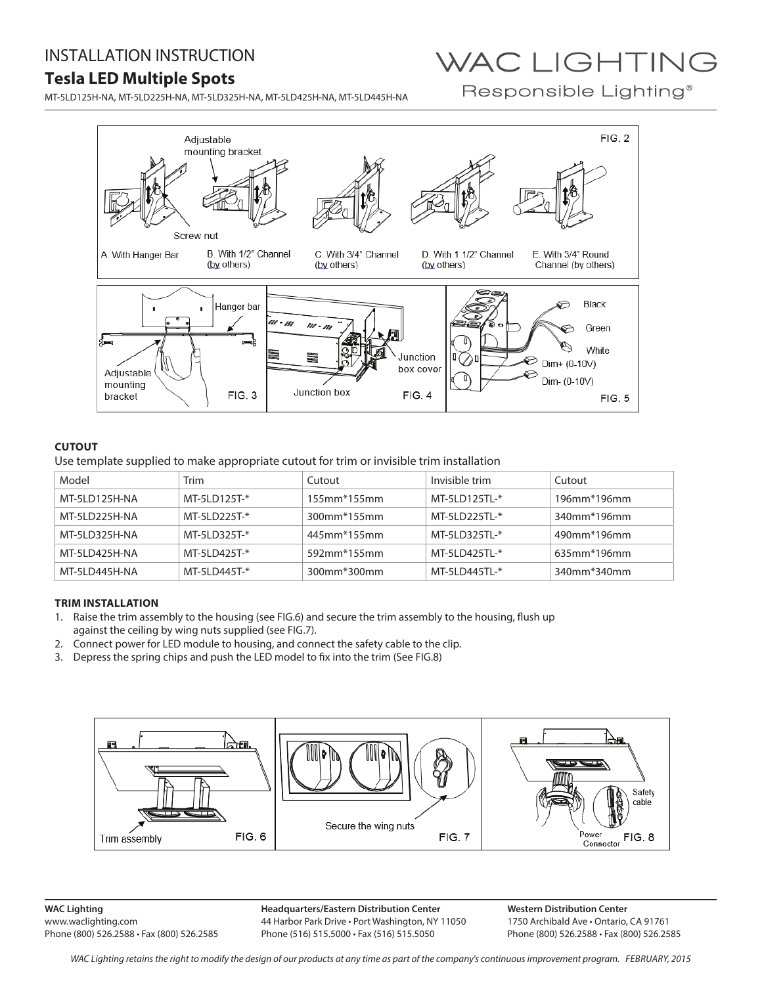# INSTALLATION INSTRUCTION

# **Tesla LED Multiple Spots**

MT-5LD125H-NA, MT-5LD225H-NA, MT-5LD325H-NA, MT-5LD425H-NA, MT-5LD445H-NA

# WAC LIGHTING

Responsible Lighting<sup>®</sup>



## **CUTOUT**

Use template supplied to make appropriate cutout for trim or invisible trim installation

| Model         | Trim          | Cutout                         | Invisible trim | Cutout                   |
|---------------|---------------|--------------------------------|----------------|--------------------------|
| MT-5LD125H-NA | MT-5LD125T-*  | $155$ mm <sup>*</sup> $155$ mm | MT-5LD125TL-*  | $196$ mm*196mm           |
| MT-5LD225H-NA | MT-5LD225T-*  | 300mm <sup>*</sup> 155mm       | MT-5LD225TL-*  | 340mm <sup>*</sup> 196mm |
| MT-5LD325H-NA | MT-5LD325T-*  | 445mm <sup>*</sup> 155mm       | MT-5LD325TL-*  | 490mm <sup>*</sup> 196mm |
| MT-5LD425H-NA | MT-51 D425T-* | 592mm <sup>*</sup> 155mm       | MT-51 D425TI-* | 635mm*196mm              |
| MT-5LD445H-NA | MT-5LD445T-*  | 300mm*300mm                    | MT-5LD445TL-*  | 340mm*340mm              |

## **TRIM INSTALLATION**

- 1. Raise the trim assembly to the housing (see FIG.6) and secure the trim assembly to the housing, flush up against the ceiling by wing nuts supplied (see FIG.7).
- 2. Connect power for LED module to housing, and connect the safety cable to the clip.
- 3. Depress the spring chips and push the LED model to fix into the trim (See FIG.8)



**WAC Lighting** www.waclighting.com Phone (800) 526.2588 • Fax (800) 526.2585

**Headquarters/Eastern Distribution Center** 44 Harbor Park Drive • Port Washington, NY 11050 Phone (516) 515.5000 • Fax (516) 515.5050

**Western Distribution Center**  1750 Archibald Ave • Ontario, CA 91761 Phone (800) 526.2588 • Fax (800) 526.2585